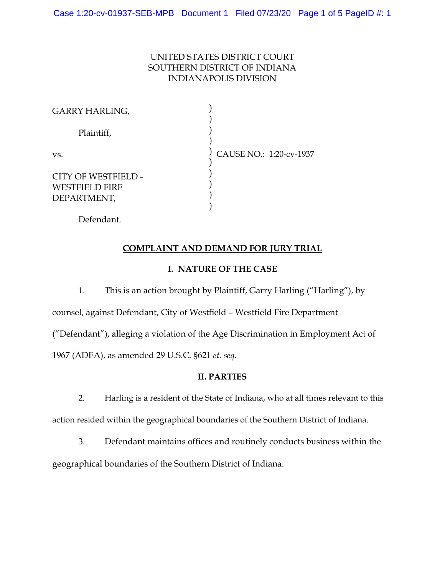## UNITED STATES DISTRICT COURT SOUTHERN DISTRICT OF INDIANA INDIANAPOLIS DIVISION

| <b>GARRY HARLING,</b>                                       |                         |
|-------------------------------------------------------------|-------------------------|
| Plaintiff,                                                  |                         |
| VS.                                                         | CAUSE NO.: 1:20-cv-1937 |
| CITY OF WESTFIELD -<br><b>WESTFIELD FIRE</b><br>DEPARTMENT, |                         |

Defendant.

## **COMPLAINT AND DEMAND FOR JURY TRIAL**

## **I. NATURE OF THE CASE**

1. This is an action brought by Plaintiff, Garry Harling ("Harling"), by counsel, against Defendant, City of Westfield – Westfield Fire Department ("Defendant"), alleging a violation of the Age Discrimination in Employment Act of 1967 (ADEA), as amended 29 U.S.C. §621 *et. seq*.

## **II. PARTIES**

2. Harling is a resident of the State of Indiana, who at all times relevant to this action resided within the geographical boundaries of the Southern District of Indiana.

3. Defendant maintains offices and routinely conducts business within the geographical boundaries of the Southern District of Indiana.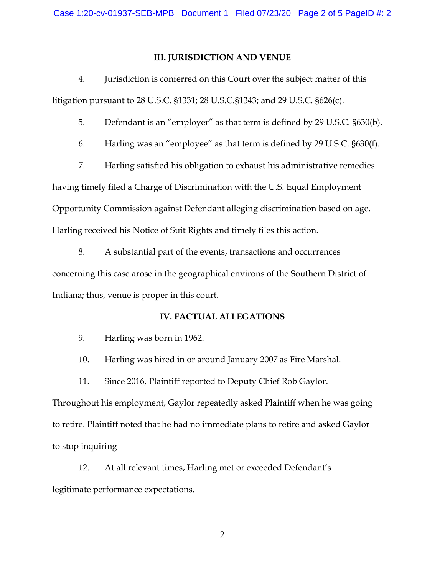#### **III. JURISDICTION AND VENUE**

4. Jurisdiction is conferred on this Court over the subject matter of this litigation pursuant to 28 U.S.C. §1331; 28 U.S.C.§1343; and 29 U.S.C. §626(c).

5. Defendant is an "employer" as that term is defined by 29 U.S.C. §630(b).

6. Harling was an "employee" as that term is defined by 29 U.S.C. §630(f).

7. Harling satisfied his obligation to exhaust his administrative remedies having timely filed a Charge of Discrimination with the U.S. Equal Employment Opportunity Commission against Defendant alleging discrimination based on age. Harling received his Notice of Suit Rights and timely files this action.

8. A substantial part of the events, transactions and occurrences concerning this case arose in the geographical environs of the Southern District of Indiana; thus, venue is proper in this court.

### **IV. FACTUAL ALLEGATIONS**

9. Harling was born in 1962.

10. Harling was hired in or around January 2007 as Fire Marshal.

11. Since 2016, Plaintiff reported to Deputy Chief Rob Gaylor.

Throughout his employment, Gaylor repeatedly asked Plaintiff when he was going to retire. Plaintiff noted that he had no immediate plans to retire and asked Gaylor to stop inquiring

12. At all relevant times, Harling met or exceeded Defendant's legitimate performance expectations.

2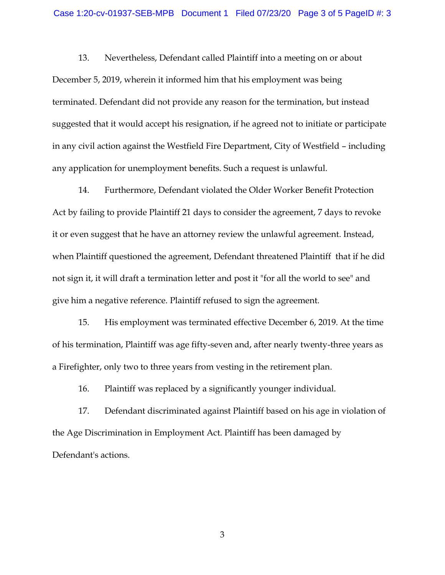13. Nevertheless, Defendant called Plaintiff into a meeting on or about December 5, 2019, wherein it informed him that his employment was being terminated. Defendant did not provide any reason for the termination, but instead suggested that it would accept his resignation, if he agreed not to initiate or participate in any civil action against the Westfield Fire Department, City of Westfield – including any application for unemployment benefits. Such a request is unlawful.

14. Furthermore, Defendant violated the Older Worker Benefit Protection Act by failing to provide Plaintiff 21 days to consider the agreement, 7 days to revoke it or even suggest that he have an attorney review the unlawful agreement. Instead, when Plaintiff questioned the agreement, Defendant threatened Plaintiff that if he did not sign it, it will draft a termination letter and post it "for all the world to see" and give him a negative reference. Plaintiff refused to sign the agreement.

15. His employment was terminated effective December 6, 2019. At the time of his termination, Plaintiff was age fifty-seven and, after nearly twenty-three years as a Firefighter, only two to three years from vesting in the retirement plan.

16. Plaintiff was replaced by a significantly younger individual.

17. Defendant discriminated against Plaintiff based on his age in violation of the Age Discrimination in Employment Act. Plaintiff has been damaged by Defendant's actions.

3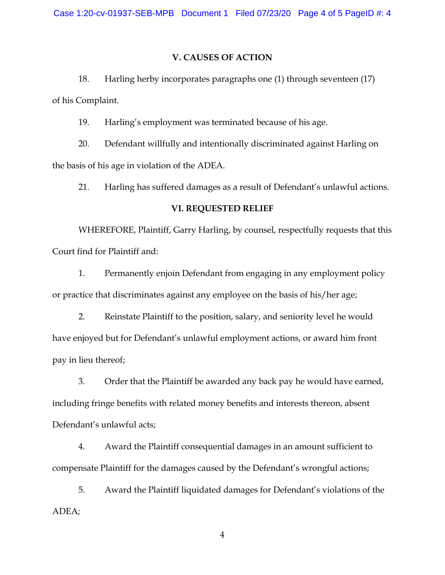#### **V. CAUSES OF ACTION**

18. Harling herby incorporates paragraphs one (1) through seventeen (17) of his Complaint.

19. Harling's employment was terminated because of his age.

20. Defendant willfully and intentionally discriminated against Harling on the basis of his age in violation of the ADEA.

21. Harling has suffered damages as a result of Defendant's unlawful actions.

#### **VI. REQUESTED RELIEF**

WHEREFORE, Plaintiff, Garry Harling, by counsel, respectfully requests that this Court find for Plaintiff and:

1. Permanently enjoin Defendant from engaging in any employment policy or practice that discriminates against any employee on the basis of his/her age;

2. Reinstate Plaintiff to the position, salary, and seniority level he would have enjoyed but for Defendant's unlawful employment actions, or award him front pay in lieu thereof;

3. Order that the Plaintiff be awarded any back pay he would have earned, including fringe benefits with related money benefits and interests thereon, absent Defendant's unlawful acts;

4. Award the Plaintiff consequential damages in an amount sufficient to compensate Plaintiff for the damages caused by the Defendant's wrongful actions;

5. Award the Plaintiff liquidated damages for Defendant's violations of the ADEA;

4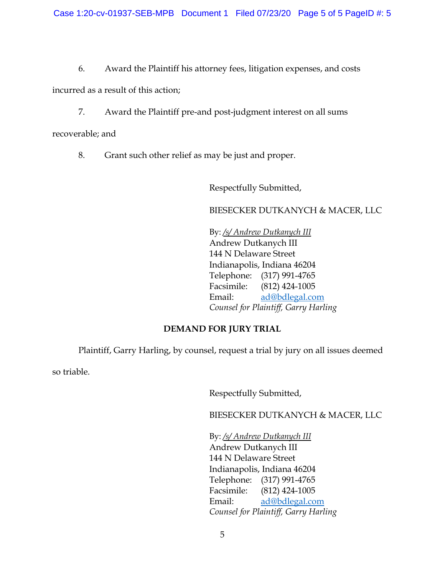6. Award the Plaintiff his attorney fees, litigation expenses, and costs

incurred as a result of this action;

7. Award the Plaintiff pre-and post-judgment interest on all sums

recoverable; and

8. Grant such other relief as may be just and proper.

Respectfully Submitted,

BIESECKER DUTKANYCH & MACER, LLC

By: */s/ Andrew Dutkanych III* Andrew Dutkanych III 144 N Delaware Street Indianapolis, Indiana 46204 Telephone: (317) 991-4765 Facsimile: (812) 424-1005 Email: [ad@bdlegal.com](mailto:ad@bdlegal.com) *Counsel for Plaintiff, Garry Harling*

## **DEMAND FOR JURY TRIAL**

Plaintiff, Garry Harling, by counsel, request a trial by jury on all issues deemed

so triable.

Respectfully Submitted,

BIESECKER DUTKANYCH & MACER, LLC

By: */s/ Andrew Dutkanych III* Andrew Dutkanych III 144 N Delaware Street Indianapolis, Indiana 46204 Telephone: (317) 991-4765 Facsimile: (812) 424-1005 Email: [ad@bdlegal.com](mailto:ad@bdlegal.com) *Counsel for Plaintiff, Garry Harling*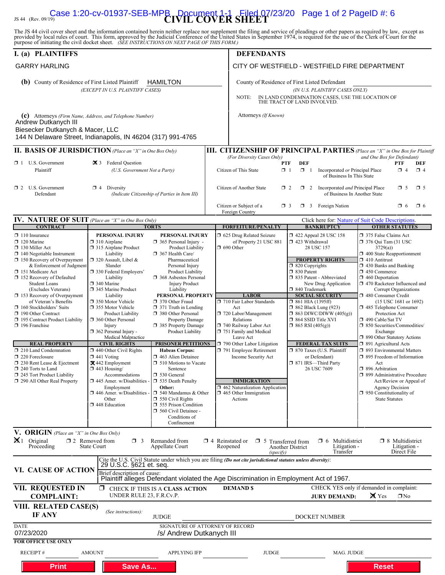# JS 44 (Rev. 09/19)<br> **CIVIL COVER SHEET** Page 1 of 2 PageID #: 6

The JS 44 civil cover sheet and the information contained herein neither replace nor supplement the filing and service of pleadings or other papers as required by law, except as provided by local rules of court. This form,

| I. (a) PLAINTIFFS                                                                 |                                                        |                                                           | <b>DEFENDANTS</b>                                                                                                                     |                                                                                                               |                                                                                    |  |  |  |
|-----------------------------------------------------------------------------------|--------------------------------------------------------|-----------------------------------------------------------|---------------------------------------------------------------------------------------------------------------------------------------|---------------------------------------------------------------------------------------------------------------|------------------------------------------------------------------------------------|--|--|--|
| <b>GARRY HARLING</b>                                                              |                                                        |                                                           |                                                                                                                                       |                                                                                                               |                                                                                    |  |  |  |
|                                                                                   |                                                        |                                                           | CITY OF WESTFIELD - WESTFIELD FIRE DEPARTMENT                                                                                         |                                                                                                               |                                                                                    |  |  |  |
| (b) County of Residence of First Listed Plaintiff                                 |                                                        | <b>HAMILTON</b>                                           |                                                                                                                                       | County of Residence of First Listed Defendant                                                                 |                                                                                    |  |  |  |
|                                                                                   | (EXCEPT IN U.S. PLAINTIFF CASES)                       |                                                           | NOTE:                                                                                                                                 | (IN U.S. PLAINTIFF CASES ONLY)<br>IN LAND CONDEMNATION CASES, USE THE LOCATION OF THE TRACT OF LAND INVOLVED. |                                                                                    |  |  |  |
|                                                                                   |                                                        |                                                           |                                                                                                                                       |                                                                                                               |                                                                                    |  |  |  |
| (c) Attorneys (Firm Name, Address, and Telephone Number)                          |                                                        |                                                           | Attorneys (If Known)                                                                                                                  |                                                                                                               |                                                                                    |  |  |  |
| Andrew Dutkanych III<br>Biesecker Dutkanych & Macer, LLC                          |                                                        |                                                           |                                                                                                                                       |                                                                                                               |                                                                                    |  |  |  |
| 144 N Delaware Street, Indianapolis, IN 46204 (317) 991-4765                      |                                                        |                                                           |                                                                                                                                       |                                                                                                               |                                                                                    |  |  |  |
| <b>II. BASIS OF JURISDICTION</b> (Place an "X" in One Box Only)                   |                                                        |                                                           | <b>III. CITIZENSHIP OF PRINCIPAL PARTIES</b> (Place an "X" in One Box for Plaintiff                                                   |                                                                                                               |                                                                                    |  |  |  |
| $\Box$ 1 U.S. Government                                                          | <b>X</b> 3 Federal Question                            |                                                           | (For Diversity Cases Only)<br>PTF                                                                                                     | <b>DEF</b>                                                                                                    | and One Box for Defendant)<br>PTF<br>DEF                                           |  |  |  |
| Plaintiff                                                                         | (U.S. Government Not a Party)                          |                                                           | Citizen of This State<br>$\Box$ 1<br>$\Box$ 1<br>Incorporated or Principal Place<br>$\Box$ 4<br>$\Box$ 4<br>of Business In This State |                                                                                                               |                                                                                    |  |  |  |
| $\Box$ 2 U.S. Government<br>Defendant                                             | $\Box$ 4 Diversity                                     | (Indicate Citizenship of Parties in Item III)             | Citizen of Another State<br>$\square$ 5<br>$\Box$ 2<br>2 Incorporated and Principal Place<br>$\Box$ 5<br>of Business In Another State |                                                                                                               |                                                                                    |  |  |  |
|                                                                                   |                                                        |                                                           | Citizen or Subject of a<br>$\Box$ 3<br>Foreign Country                                                                                | 3 Foreign Nation                                                                                              | $\Box$ 6<br>$\Box$ 6                                                               |  |  |  |
| <b>IV. NATURE OF SUIT</b> (Place an "X" in One Box Only)                          |                                                        |                                                           |                                                                                                                                       |                                                                                                               | Click here for: Nature of Suit Code Descriptions.                                  |  |  |  |
| <b>CONTRACT</b><br>$\Box$ 110 Insurance                                           | PERSONAL INJURY                                        | <b>TORTS</b><br>PERSONAL INJURY                           | <b>FORFEITURE/PENALTY</b><br>□ 625 Drug Related Seizure                                                                               | <b>BANKRUPTCY</b><br>158 122 Appeal 28 USC 158                                                                | <b>OTHER STATUTES</b><br>375 False Claims Act                                      |  |  |  |
| $\Box$ 120 Marine<br>$\Box$ 130 Miller Act                                        | $\Box$ 310 Airplane<br>$\Box$ 315 Airplane Product     | $\Box$ 365 Personal Injury -<br>Product Liability         | of Property 21 USC 881<br>$\Box$ 690 Other                                                                                            | $\Box$ 423 Withdrawal<br>28 USC 157                                                                           | $\Box$ 376 Qui Tam (31 USC<br>3729(a)                                              |  |  |  |
| $\Box$ 140 Negotiable Instrument                                                  | Liability                                              | 367 Health Care/                                          |                                                                                                                                       |                                                                                                               | $\Box$ 400 State Reapportionment                                                   |  |  |  |
| $\Box$ 150 Recovery of Overpayment<br>& Enforcement of Judgment                   | □ 320 Assault, Libel &<br>Slander                      | Pharmaceutical<br>Personal Injury                         |                                                                                                                                       | <b>PROPERTY RIGHTS</b><br>$\Box$ 820 Copyrights                                                               | $\Box$ 410 Antitrust<br>$\Box$ 430 Banks and Banking                               |  |  |  |
| □ 151 Medicare Act<br>□ 152 Recovery of Defaulted                                 | 330 Federal Employers'<br>Liability                    | Product Liability<br>□ 368 Asbestos Personal              |                                                                                                                                       | □ 830 Patent<br>335 Patent - Abbreviated                                                                      | $\Box$ 450 Commerce<br>$\Box$ 460 Deportation                                      |  |  |  |
| <b>Student Loans</b><br>(Excludes Veterans)                                       | $\Box$ 340 Marine<br>345 Marine Product                | <b>Injury Product</b><br>Liability                        |                                                                                                                                       | New Drug Application<br>□ 840 Trademark                                                                       | 1 470 Racketeer Influenced and<br>Corrupt Organizations                            |  |  |  |
| 153 Recovery of Overpayment                                                       | Liability                                              | PERSONAL PROPERTY                                         | <b>LABOR</b>                                                                                                                          | <b>SOCIAL SECURITY</b>                                                                                        | 480 Consumer Credit                                                                |  |  |  |
| of Veteran's Benefits<br>160 Stockholders' Suits                                  | □ 350 Motor Vehicle<br>□ 355 Motor Vehicle             | 370 Other Fraud<br>$\Box$ 371 Truth in Lending            | 710 Fair Labor Standards<br>Act                                                                                                       | $\Box$ 861 HIA (1395ff)<br><b>1 862 Black Lung (923)</b>                                                      | (15 USC 1681 or 1692)<br>1 485 Telephone Consumer                                  |  |  |  |
| 190 Other Contract<br>195 Contract Product Liability                              | Product Liability<br><b>360 Other Personal</b>         | 380 Other Personal<br><b>Property Damage</b>              | 720 Labor/Management<br>Relations                                                                                                     | $\Box$ 863 DIWC/DIWW (405(g))<br>$\Box$ 864 SSID Title XVI                                                    | Protection Act<br>□ 490 Cable/Sat TV                                               |  |  |  |
| $\Box$ 196 Franchise                                                              | Injury<br>362 Personal Injury -                        | 385 Property Damage<br>Product Liability                  | 740 Railway Labor Act<br>751 Family and Medical                                                                                       | $\Box$ 865 RSI (405(g))                                                                                       | □ 850 Securities/Commodities/<br>Exchange                                          |  |  |  |
|                                                                                   | Medical Malpractice                                    |                                                           | Leave Act                                                                                                                             |                                                                                                               | □ 890 Other Statutory Actions                                                      |  |  |  |
| <b>REAL PROPERTY</b><br>210 Land Condemnation                                     | <b>CIVIL RIGHTS</b><br>$\Box$ 440 Other Civil Rights   | <b>PRISONER PETITIONS</b><br><b>Habeas Corpus:</b>        | 790 Other Labor Litigation<br>791 Employee Retirement                                                                                 | <b>FEDERAL TAX SUITS</b><br>□ 870 Taxes (U.S. Plaintiff                                                       | □ 891 Agricultural Acts<br>□ 893 Environmental Matters                             |  |  |  |
| 220 Foreclosure<br>230 Rent Lease & Ejectment                                     | $\Box$ 441 Voting<br>$\mathbf{\times}$ 442 Employment  | $\Box$ 463 Alien Detainee<br>$\Box$ 510 Motions to Vacate | Income Security Act                                                                                                                   | or Defendant)<br>□ 871 IRS-Third Party                                                                        | □ 895 Freedom of Information<br>Act                                                |  |  |  |
| 240 Torts to Land<br>245 Tort Product Liability                                   | $\Box$ 443 Housing/<br>Accommodations                  | Sentence<br>530 General                                   |                                                                                                                                       | 26 USC 7609                                                                                                   | □ 896 Arbitration<br>□ 899 Administrative Procedure                                |  |  |  |
| 290 All Other Real Property                                                       | $\Box$ 445 Amer. w/Disabilities -                      | 535 Death Penalty                                         | <b>IMMIGRATION</b>                                                                                                                    |                                                                                                               | Act/Review or Appeal of                                                            |  |  |  |
|                                                                                   | Employment<br>446 Amer. w/Disabilities -               | Other:<br>$\Box$ 540 Mandamus & Other                     | $\Box$ 462 Naturalization Application<br>1 465 Other Immigration                                                                      |                                                                                                               | <b>Agency Decision</b><br><sup>1</sup> 950 Constitutionality of                    |  |  |  |
|                                                                                   | Other<br>□ 448 Education                               | $\Box$ 550 Civil Rights<br>555 Prison Condition           | Actions                                                                                                                               |                                                                                                               | <b>State Statutes</b>                                                              |  |  |  |
|                                                                                   |                                                        | 560 Civil Detainee -<br>Conditions of                     |                                                                                                                                       |                                                                                                               |                                                                                    |  |  |  |
|                                                                                   |                                                        | Confinement                                               |                                                                                                                                       |                                                                                                               |                                                                                    |  |  |  |
| V. ORIGIN (Place an "X" in One Box Only)<br>$\mathbf{X}$ 1 Original<br>Proceeding | $\square$ 2 Removed from<br>$\Box$ 3<br>State Court    | Remanded from<br>Appellate Court                          | $\Box$ 4 Reinstated or $\Box$ 5 Transferred from<br>Reopened                                                                          | Multidistrict<br>□ 6<br>Litigation -<br><b>Another District</b>                                               | $\Box$ 8 Multidistrict<br>Litigation -                                             |  |  |  |
|                                                                                   |                                                        |                                                           | (specify)<br>Cite the U.S. Civil Statute under which you are filing (Do not cite jurisdictional statutes unless diversity):           | Transfer                                                                                                      | Direct File                                                                        |  |  |  |
| VI. CAUSE OF ACTION                                                               | 29 U.S.C. §621 et. seq.<br>Brief description of cause: |                                                           |                                                                                                                                       |                                                                                                               |                                                                                    |  |  |  |
|                                                                                   |                                                        |                                                           | Plaintiff alleges Defendant violated the Age Discrimination in Employment Act of 1967.                                                |                                                                                                               |                                                                                    |  |  |  |
| <b>VII. REQUESTED IN</b><br><b>COMPLAINT:</b>                                     | ο.<br>UNDER RULE 23, F.R.Cv.P.                         | CHECK IF THIS IS A CLASS ACTION                           | <b>DEMAND \$</b>                                                                                                                      | <b>JURY DEMAND:</b>                                                                                           | CHECK YES only if demanded in complaint:<br>$\mathbf{\mathsf{X}}$ Yes<br>$\Box$ No |  |  |  |
| VIII. RELATED CASE(S)<br>IF ANY                                                   | (See instructions):                                    | <b>JUDGE</b>                                              |                                                                                                                                       | DOCKET NUMBER                                                                                                 |                                                                                    |  |  |  |
| <b>DATE</b>                                                                       |                                                        |                                                           | SIGNATURE OF ATTORNEY OF RECORD                                                                                                       |                                                                                                               |                                                                                    |  |  |  |
| 07/23/2020<br><b>FOR OFFICE USE ONLY</b>                                          |                                                        | /s/ Andrew Dutkanych III                                  |                                                                                                                                       |                                                                                                               |                                                                                    |  |  |  |
| RECEIPT#                                                                          | <b>AMOUNT</b>                                          | <b>APPLYING IFP</b>                                       | <b>JUDGE</b>                                                                                                                          | MAG. JUDGE                                                                                                    |                                                                                    |  |  |  |
| <b>Print</b>                                                                      | <b>Save As</b>                                         |                                                           |                                                                                                                                       |                                                                                                               | <b>Reset</b>                                                                       |  |  |  |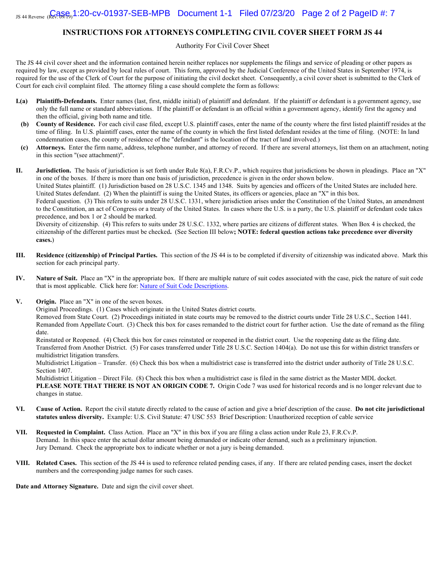#### **INSTRUCTIONS FOR ATTORNEYS COMPLETING CIVIL COVER SHEET FORM JS 44**

Authority For Civil Cover Sheet

The JS 44 civil cover sheet and the information contained herein neither replaces nor supplements the filings and service of pleading or other papers as required by law, except as provided by local rules of court. This form, approved by the Judicial Conference of the United States in September 1974, is required for the use of the Clerk of Court for the purpose of initiating the civil docket sheet. Consequently, a civil cover sheet is submitted to the Clerk of Court for each civil complaint filed. The attorney filing a case should complete the form as follows:

- **I.(a) Plaintiffs-Defendants.** Enter names (last, first, middle initial) of plaintiff and defendant. If the plaintiff or defendant is a government agency, use only the full name or standard abbreviations. If the plaintiff or defendant is an official within a government agency, identify first the agency and then the official, giving both name and title.
- **(b) County of Residence.** For each civil case filed, except U.S. plaintiff cases, enter the name of the county where the first listed plaintiff resides at the time of filing. In U.S. plaintiff cases, enter the name of the county in which the first listed defendant resides at the time of filing. (NOTE: In land condemnation cases, the county of residence of the "defendant" is the location of the tract of land involved.)
- **(c) Attorneys.** Enter the firm name, address, telephone number, and attorney of record. If there are several attorneys, list them on an attachment, noting in this section "(see attachment)".

**II. Jurisdiction.** The basis of jurisdiction is set forth under Rule 8(a), F.R.Cv.P., which requires that jurisdictions be shown in pleadings. Place an "X" in one of the boxes. If there is more than one basis of jurisdiction, precedence is given in the order shown below.

United States plaintiff. (1) Jurisdiction based on 28 U.S.C. 1345 and 1348. Suits by agencies and officers of the United States are included here. United States defendant. (2) When the plaintiff is suing the United States, its officers or agencies, place an "X" in this box.

Federal question. (3) This refers to suits under 28 U.S.C. 1331, where jurisdiction arises under the Constitution of the United States, an amendment to the Constitution, an act of Congress or a treaty of the United States. In cases where the U.S. is a party, the U.S. plaintiff or defendant code takes precedence, and box 1 or 2 should be marked.

Diversity of citizenship. (4) This refers to suits under 28 U.S.C. 1332, where parties are citizens of different states. When Box 4 is checked, the citizenship of the different parties must be checked**.** (See Section III below**; NOTE: federal question actions take precedence over diversity cases.**)

- **III. Residence (citizenship) of Principal Parties.** This section of the JS 44 is to be completed if diversity of citizenship was indicated above. Mark this section for each principal party.
- **IV. Nature of Suit.** Place an "X" in the appropriate box. If there are multiple nature of suit codes associated with the case, pick the nature of suit code that is most applicable. Click here for[: Nature of Suit Code Descriptions](http://www.uscourts.gov/forms/civil-forms/civil-cover-sheet).
- **V. Origin.** Place an "X" in one of the seven boxes.

Original Proceedings. (1) Cases which originate in the United States district courts.

Removed from State Court. (2) Proceedings initiated in state courts may be removed to the district courts under Title 28 U.S.C., Section 1441. Remanded from Appellate Court. (3) Check this box for cases remanded to the district court for further action. Use the date of remand as the filing date.

Reinstated or Reopened. (4) Check this box for cases reinstated or reopened in the district court. Use the reopening date as the filing date. Transferred from Another District. (5) For cases transferred under Title 28 U.S.C. Section 1404(a). Do not use this for within district transfers or multidistrict litigation transfers.

Multidistrict Litigation – Transfer. (6) Check this box when a multidistrict case is transferred into the district under authority of Title 28 U.S.C. Section 1407.

Multidistrict Litigation – Direct File. (8) Check this box when a multidistrict case is filed in the same district as the Master MDL docket. **PLEASE NOTE THAT THERE IS NOT AN ORIGIN CODE 7.** Origin Code 7 was used for historical records and is no longer relevant due to changes in statue.

- **VI. Cause of Action.** Report the civil statute directly related to the cause of action and give a brief description of the cause. **Do not cite jurisdictional statutes unless diversity.** Example: U.S. Civil Statute: 47 USC 553 Brief Description: Unauthorized reception of cable service
- **VII. Requested in Complaint.** Class Action. Place an "X" in this box if you are filing a class action under Rule 23, F.R.Cv.P. Demand. In this space enter the actual dollar amount being demanded or indicate other demand, such as a preliminary injunction. Jury Demand. Check the appropriate box to indicate whether or not a jury is being demanded.
- **VIII. Related Cases.** This section of the JS 44 is used to reference related pending cases, if any. If there are related pending cases, insert the docket numbers and the corresponding judge names for such cases.

**Date and Attorney Signature.** Date and sign the civil cover sheet.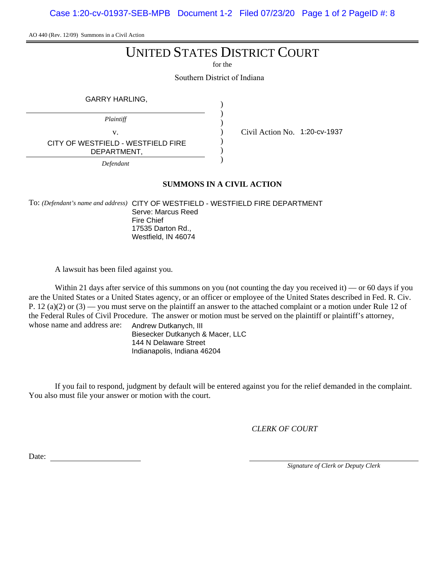Case 1:20-cv-01937-SEB-MPB Document 1-2 Filed 07/23/20 Page 1 of 2 PageID #: 8

AO 440 (Rev. 12/09) Summons in a Civil Action

## UNITED STATES DISTRICT COURT

for the

Southern District of Indiana

) ) ) ) ) ) )

GARRY HARLING,

*Plaintiff*

CITY OF WESTFIELD - WESTFIELD FIRE DEPARTMENT,

*Defendant*

v. Civil Action No. 1:20-cv-1937

#### **SUMMONS IN A CIVIL ACTION**

To: *(Defendant's name and address)* CITY OF WESTFIELD - WESTFIELD FIRE DEPARTMENT Serve: Marcus Reed Fire Chief 17535 Darton Rd., Westfield, IN 46074

A lawsuit has been filed against you.

Within 21 days after service of this summons on you (not counting the day you received it) — or 60 days if you are the United States or a United States agency, or an officer or employee of the United States described in Fed. R. Civ. P. 12 (a)(2) or (3) — you must serve on the plaintiff an answer to the attached complaint or a motion under Rule 12 of the Federal Rules of Civil Procedure. The answer or motion must be served on the plaintiff or plaintiff's attorney, whose name and address are: Andrew Dutkanych, III

Biesecker Dutkanych & Macer, LLC 144 N Delaware Street Indianapolis, Indiana 46204

If you fail to respond, judgment by default will be entered against you for the relief demanded in the complaint. You also must file your answer or motion with the court.

*CLERK OF COURT*

Date:

*Signature of Clerk or Deputy Clerk*